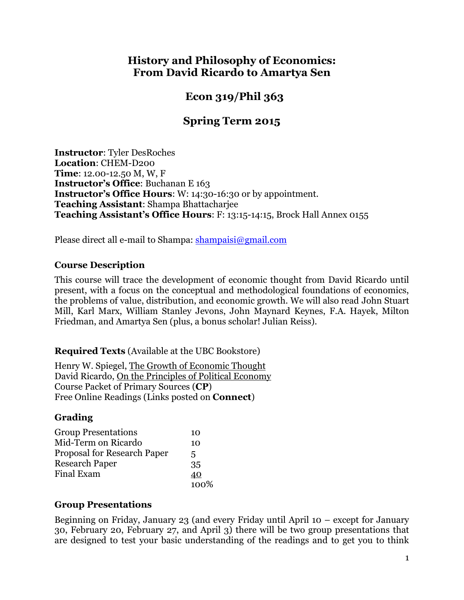## **History and Philosophy of Economics: From David Ricardo to Amartya Sen**

# **Econ 319/Phil 363**

# **Spring Term 2015**

**Instructor**: Tyler DesRoches **Location**: CHEM-D200 **Time**: 12.00-12.50 M, W, F **Instructor's Office**: Buchanan E 163 **Instructor's Office Hours**: W: 14:30-16:30 or by appointment. **Teaching Assistant**: Shampa Bhattacharjee **Teaching Assistant's Office Hours**: F: 13:15-14:15, Brock Hall Annex 0155

Please direct all e-mail to Shampa: [shampaisi@gmail.com](mailto:shampaisi@gmail.com)

### **Course Description**

This course will trace the development of economic thought from David Ricardo until present, with a focus on the conceptual and methodological foundations of economics, the problems of value, distribution, and economic growth. We will also read John Stuart Mill, Karl Marx, William Stanley Jevons, John Maynard Keynes, F.A. Hayek, Milton Friedman, and Amartya Sen (plus, a bonus scholar! Julian Reiss).

**Required Texts** (Available at the UBC Bookstore)

Henry W. Spiegel, The Growth of Economic Thought David Ricardo, On the Principles of Political Economy Course Packet of Primary Sources (**CP**) Free Online Readings (Links posted on **Connect**)

### **Grading**

| <b>Group Presentations</b>         | 10   |
|------------------------------------|------|
| Mid-Term on Ricardo                | 10   |
| <b>Proposal for Research Paper</b> | 5    |
| <b>Research Paper</b>              | 35   |
| <b>Final Exam</b>                  | 40   |
|                                    | 100% |

#### **Group Presentations**

Beginning on Friday, January 23 (and every Friday until April 10 – except for January 30, February 20, February 27, and April 3) there will be two group presentations that are designed to test your basic understanding of the readings and to get you to think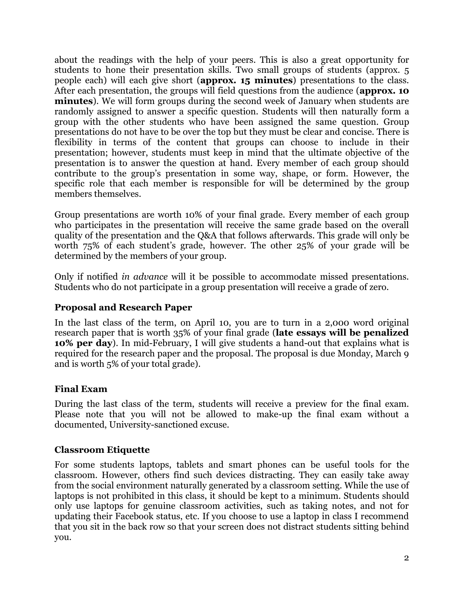about the readings with the help of your peers. This is also a great opportunity for students to hone their presentation skills. Two small groups of students (approx. 5 people each) will each give short (**approx. 15 minutes**) presentations to the class. After each presentation, the groups will field questions from the audience (**approx. 10 minutes**). We will form groups during the second week of January when students are randomly assigned to answer a specific question. Students will then naturally form a group with the other students who have been assigned the same question. Group presentations do not have to be over the top but they must be clear and concise. There is flexibility in terms of the content that groups can choose to include in their presentation; however, students must keep in mind that the ultimate objective of the presentation is to answer the question at hand. Every member of each group should contribute to the group's presentation in some way, shape, or form. However, the specific role that each member is responsible for will be determined by the group members themselves.

Group presentations are worth 10% of your final grade. Every member of each group who participates in the presentation will receive the same grade based on the overall quality of the presentation and the Q&A that follows afterwards. This grade will only be worth 75% of each student's grade, however. The other 25% of your grade will be determined by the members of your group.

Only if notified *in advance* will it be possible to accommodate missed presentations. Students who do not participate in a group presentation will receive a grade of zero.

### **Proposal and Research Paper**

In the last class of the term, on April 10, you are to turn in a 2,000 word original research paper that is worth 35% of your final grade (**late essays will be penalized 10% per day**). In mid-February, I will give students a hand-out that explains what is required for the research paper and the proposal. The proposal is due Monday, March 9 and is worth 5% of your total grade).

### **Final Exam**

During the last class of the term, students will receive a preview for the final exam. Please note that you will not be allowed to make-up the final exam without a documented, University-sanctioned excuse.

## **Classroom Etiquette**

For some students laptops, tablets and smart phones can be useful tools for the classroom. However, others find such devices distracting. They can easily take away from the social environment naturally generated by a classroom setting. While the use of laptops is not prohibited in this class, it should be kept to a minimum. Students should only use laptops for genuine classroom activities, such as taking notes, and not for updating their Facebook status, etc. If you choose to use a laptop in class I recommend that you sit in the back row so that your screen does not distract students sitting behind you.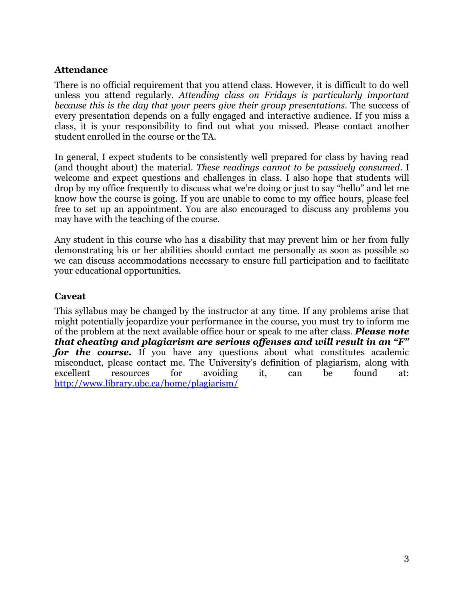### **Attendance**

There is no official requirement that you attend class. However, it is difficult to do well unless you attend regularly. *Attending class on Fridays is particularly important because this is the day that your peers give their group presentations*. The success of every presentation depends on a fully engaged and interactive audience. If you miss a class, it is your responsibility to find out what you missed. Please contact another student enrolled in the course or the TA.

In general, I expect students to be consistently well prepared for class by having read (and thought about) the material. *These readings cannot to be passively consumed*. I welcome and expect questions and challenges in class. I also hope that students will drop by my office frequently to discuss what we're doing or just to say "hello" and let me know how the course is going. If you are unable to come to my office hours, please feel free to set up an appointment. You are also encouraged to discuss any problems you may have with the teaching of the course.

Any student in this course who has a disability that may prevent him or her from fully demonstrating his or her abilities should contact me personally as soon as possible so we can discuss accommodations necessary to ensure full participation and to facilitate your educational opportunities.

#### **Caveat**

This syllabus may be changed by the instructor at any time. If any problems arise that might potentially jeopardize your performance in the course, you must try to inform me of the problem at the next available office hour or speak to me after class. *Please note that cheating and plagiarism are serious offenses and will result in an "F"*  for the course. If you have any questions about what constitutes academic misconduct, please contact me. The University's definition of plagiarism, along with excellent resources for avoiding it, can be found at: <http://www.library.ubc.ca/home/plagiarism/>